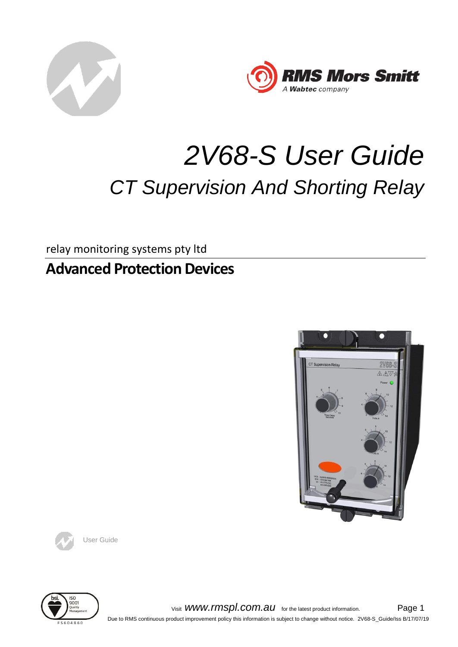



## *2V68-S User Guide CT Supervision And Shorting Relay*

relay monitoring systems pty ltd

**Advanced Protection Devices**





User Guide



Visit **WWW.rmspl.com.au** for the latest product information. Page 1 Due to RMS continuous product improvement policy this information is subject to change without notice. 2V68-S\_Guide/Iss B/17/07/19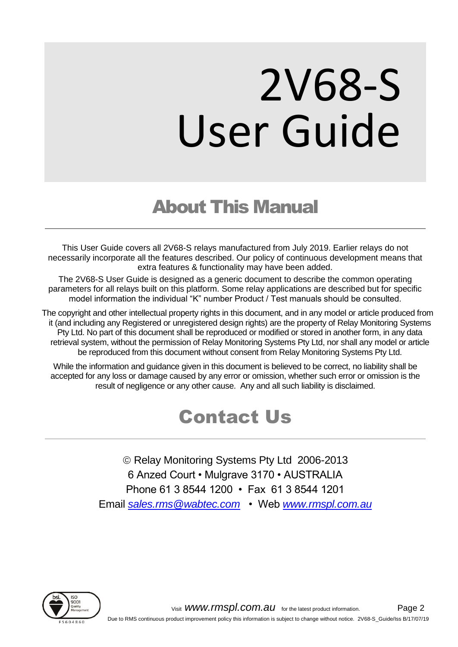# 2V68-S User Guide

## About This Manual

This User Guide covers all 2V68-S relays manufactured from July 2019. Earlier relays do not necessarily incorporate all the features described. Our policy of continuous development means that extra features & functionality may have been added.

The 2V68-S User Guide is designed as a generic document to describe the common operating parameters for all relays built on this platform. Some relay applications are described but for specific model information the individual "K" number Product / Test manuals should be consulted.

The copyright and other intellectual property rights in this document, and in any model or article produced from it (and including any Registered or unregistered design rights) are the property of Relay Monitoring Systems Pty Ltd. No part of this document shall be reproduced or modified or stored in another form, in any data retrieval system, without the permission of Relay Monitoring Systems Pty Ltd, nor shall any model or article be reproduced from this document without consent from Relay Monitoring Systems Pty Ltd.

While the information and guidance given in this document is believed to be correct, no liability shall be accepted for any loss or damage caused by any error or omission, whether such error or omission is the result of negligence or any other cause. Any and all such liability is disclaimed.

## Contact Us

© Relay Monitoring Systems Pty Ltd 2006-2013 6 Anzed Court • Mulgrave 3170 • AUSTRALIA Phone 61 3 8544 1200 • Fax 61 3 8544 1201 Email *[sales.rms@wabtec.com](mailto:sales.rms@wabtec.com)* • Web *[www.rmspl.com.au](http://www.rmspl.com.au/)*

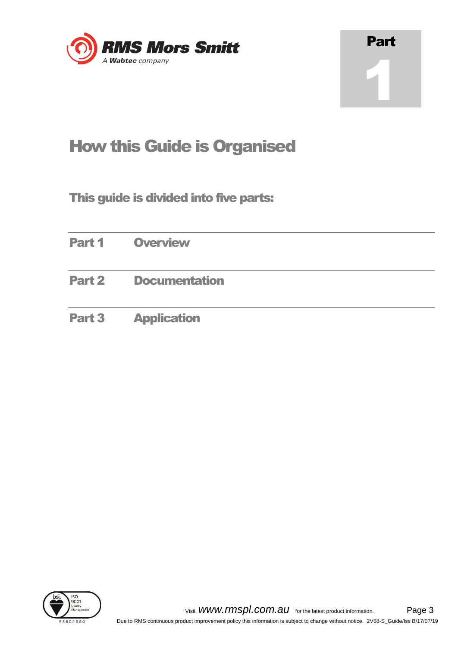

## Part 1

## How this Guide is Organised

This guide is divided into five parts:

| Part 1 | <b>Overview</b>      |
|--------|----------------------|
| Part 2 | <b>Documentation</b> |
| Part 3 | <b>Application</b>   |

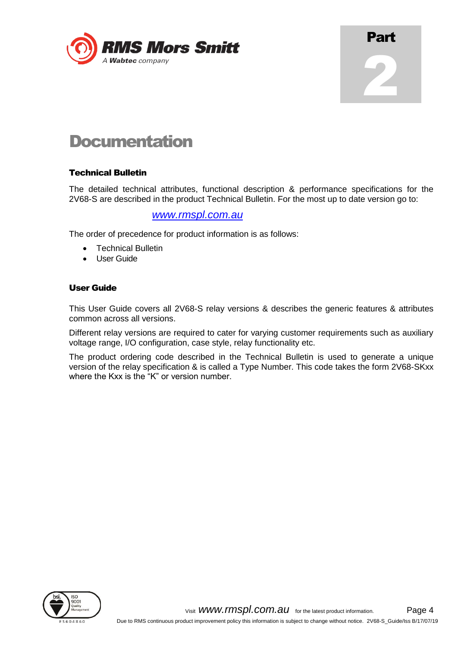

## Part 2

### **Documentation**

#### Technical Bulletin

The detailed technical attributes, functional description & performance specifications for the 2V68-S are described in the product Technical Bulletin. For the most up to date version go to:

#### *[www.rmspl.com.au](http://www.rmspl.com.au/)*

The order of precedence for product information is as follows:

- Technical Bulletin
- User Guide

#### User Guide

This User Guide covers all 2V68-S relay versions & describes the generic features & attributes common across all versions.

Different relay versions are required to cater for varying customer requirements such as auxiliary voltage range, I/O configuration, case style, relay functionality etc.

The product ordering code described in the Technical Bulletin is used to generate a unique version of the relay specification & is called a Type Number. This code takes the form 2V68-SKxx where the Kxx is the "K" or version number.

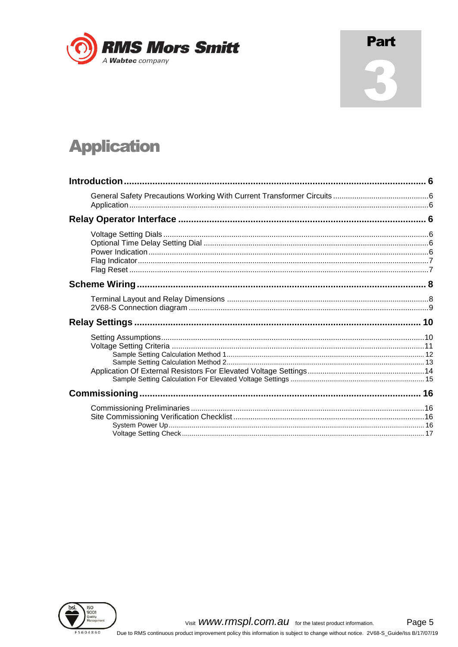

#### **Part**

### **Application**

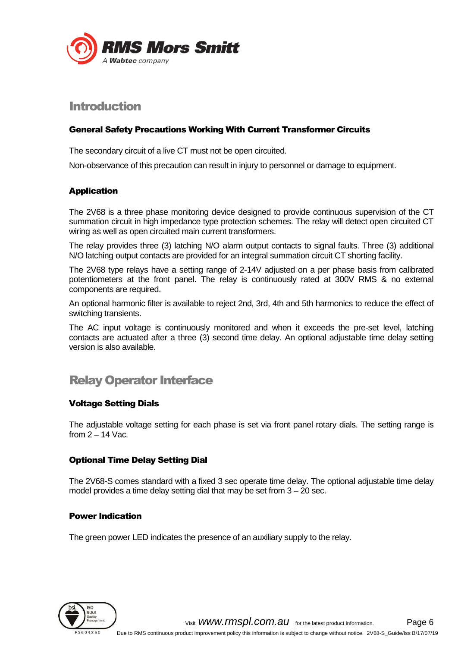

#### <span id="page-5-5"></span>Introduction

#### <span id="page-5-0"></span>General Safety Precautions Working With Current Transformer Circuits

The secondary circuit of a live CT must not be open circuited.

Non-observance of this precaution can result in injury to personnel or damage to equipment.

#### <span id="page-5-1"></span>Application

The 2V68 is a three phase monitoring device designed to provide continuous supervision of the CT summation circuit in high impedance type protection schemes. The relay will detect open circuited CT wiring as well as open circuited main current transformers.

The relay provides three (3) latching N/O alarm output contacts to signal faults. Three (3) additional N/O latching output contacts are provided for an integral summation circuit CT shorting facility.

The 2V68 type relays have a setting range of 2-14V adjusted on a per phase basis from calibrated potentiometers at the front panel. The relay is continuously rated at 300V RMS & no external components are required.

An optional harmonic filter is available to reject 2nd, 3rd, 4th and 5th harmonics to reduce the effect of switching transients.

The AC input voltage is continuously monitored and when it exceeds the pre-set level, latching contacts are actuated after a three (3) second time delay. An optional adjustable time delay setting version is also available.

#### <span id="page-5-6"></span>Relay Operator Interface

#### <span id="page-5-2"></span>Voltage Setting Dials

The adjustable voltage setting for each phase is set via front panel rotary dials. The setting range is from 2 – 14 Vac.

#### <span id="page-5-3"></span>Optional Time Delay Setting Dial

The 2V68-S comes standard with a fixed 3 sec operate time delay. The optional adjustable time delay model provides a time delay setting dial that may be set from 3 – 20 sec.

#### <span id="page-5-4"></span>Power Indication

The green power LED indicates the presence of an auxiliary supply to the relay.

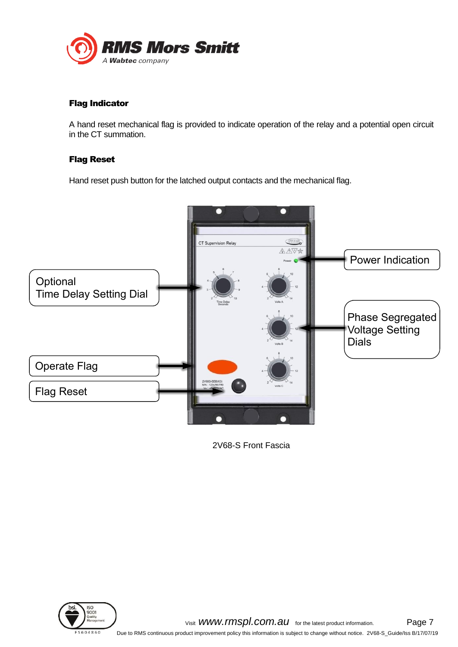

#### <span id="page-6-0"></span>Flag Indicator

A hand reset mechanical flag is provided to indicate operation of the relay and a potential open circuit in the CT summation.

#### <span id="page-6-1"></span>Flag Reset

Hand reset push button for the latched output contacts and the mechanical flag.



2V68-S Front Fascia

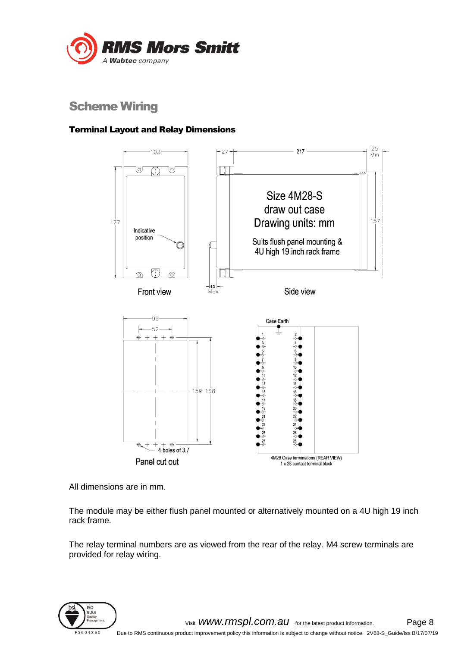

#### <span id="page-7-1"></span>Scheme Wiring

#### <span id="page-7-0"></span>Terminal Layout and Relay Dimensions



All dimensions are in mm.

The module may be either flush panel mounted or alternatively mounted on a 4U high 19 inch rack frame.

The relay terminal numbers are as viewed from the rear of the relay. M4 screw terminals are provided for relay wiring.

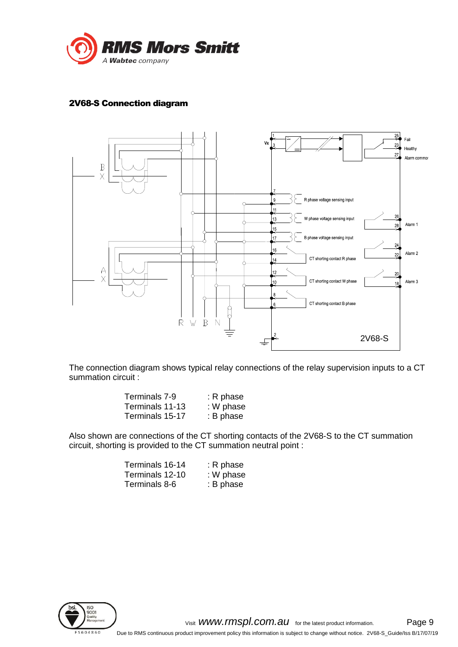

#### <span id="page-8-0"></span>2V68-S Connection diagram



The connection diagram shows typical relay connections of the relay supervision inputs to a CT summation circuit :

| Terminals 7-9   | : R phase |
|-----------------|-----------|
| Terminals 11-13 | : W phase |
| Terminals 15-17 | : B phase |

Also shown are connections of the CT shorting contacts of the 2V68-S to the CT summation circuit, shorting is provided to the CT summation neutral point :

| Terminals 16-14 | : R phase |
|-----------------|-----------|
| Terminals 12-10 | : W phase |
| Terminals 8-6   | : B phase |

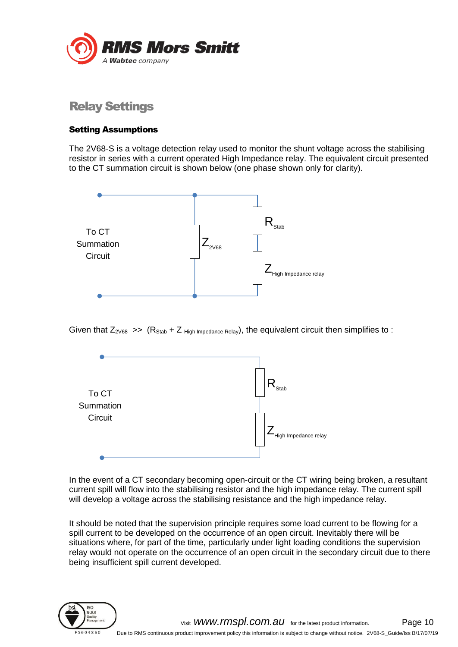

#### <span id="page-9-1"></span>Relay Settings

#### <span id="page-9-0"></span>Setting Assumptions

The 2V68-S is a voltage detection relay used to monitor the shunt voltage across the stabilising resistor in series with a current operated High Impedance relay. The equivalent circuit presented to the CT summation circuit is shown below (one phase shown only for clarity).



Given that  $Z_{2V68}$  >>  $(R_{Stab} + Z_{High\ Impedance\ Relay})$ , the equivalent circuit then simplifies to :



In the event of a CT secondary becoming open-circuit or the CT wiring being broken, a resultant current spill will flow into the stabilising resistor and the high impedance relay. The current spill will develop a voltage across the stabilising resistance and the high impedance relay.

It should be noted that the supervision principle requires some load current to be flowing for a spill current to be developed on the occurrence of an open circuit. Inevitably there will be situations where, for part of the time, particularly under light loading conditions the supervision relay would not operate on the occurrence of an open circuit in the secondary circuit due to there being insufficient spill current developed.

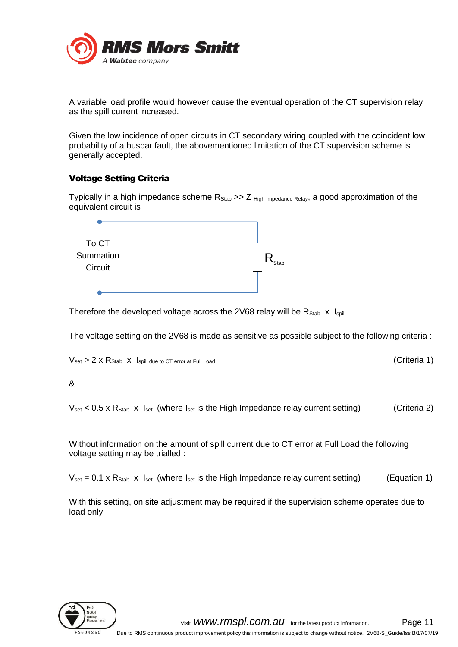

A variable load profile would however cause the eventual operation of the CT supervision relay as the spill current increased.

Given the low incidence of open circuits in CT secondary wiring coupled with the coincident low probability of a busbar fault, the abovementioned limitation of the CT supervision scheme is generally accepted.

#### <span id="page-10-0"></span>Voltage Setting Criteria

Typically in a high impedance scheme  $R_{Stab}$  >>  $Z_{High\ Impedance\ Relay}$ , a good approximation of the equivalent circuit is :



Therefore the developed voltage across the 2V68 relay will be  $R_{Stab} \times I_{spill}$ 

The voltage setting on the 2V68 is made as sensitive as possible subject to the following criteria :

 $V_{\text{set}} > 2 \times R_{\text{Stab}} \times I_{\text{solid}}$  due to CT error at Full Load (Criteria 1)

#### &

 $V_{\text{set}}$  < 0.5 x R<sub>Stab</sub> x  $I_{\text{set}}$  (where  $I_{\text{set}}$  is the High Impedance relay current setting) (Criteria 2)

Without information on the amount of spill current due to CT error at Full Load the following voltage setting may be trialled :

 $V_{\text{set}} = 0.1 \times R_{\text{Stab}} \times I_{\text{set}}$  (where  $I_{\text{set}}$  is the High Impedance relay current setting) (Equation 1)

With this setting, on site adjustment may be required if the supervision scheme operates due to load only.

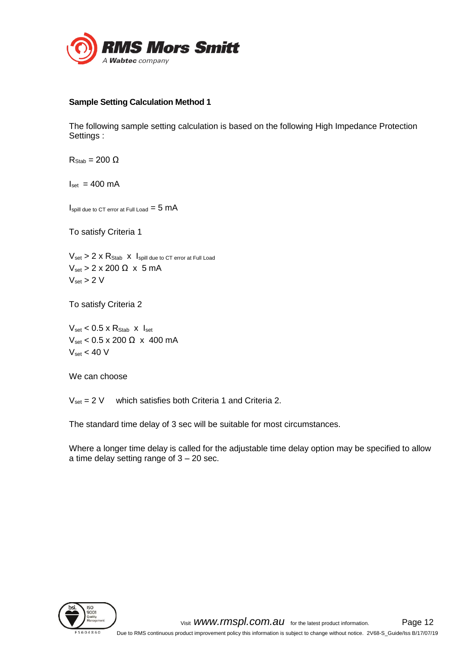

#### <span id="page-11-0"></span>**Sample Setting Calculation Method 1**

The following sample setting calculation is based on the following High Impedance Protection Settings :

 $R$ Stab = 200 Ω

 $I_{\text{set}} = 400 \text{ mA}$ 

 $I<sub>spill</sub>$  due to CT error at Full Load =  $5 \text{ mA}$ 

To satisfy Criteria 1

 $V_{\text{set}} > 2 \times R_{\text{Stab}} \times I_{\text{spill due to CT error at Full Load}}$  $V_{\text{set}}$  > 2 x 200  $\Omega$  x 5 mA  $V_{\text{set}}$  > 2 V

To satisfy Criteria 2

 $V_{\text{set}}$  < 0.5 x  $R_{\text{Stab}}$  x  $I_{\text{set}}$  $V_{\text{set}}$  < 0.5 x 200  $\Omega$  x 400 mA  $V_{\text{set}} < 40 V$ 

We can choose

 $V_{\text{set}} = 2 \text{ V}$  which satisfies both Criteria 1 and Criteria 2.

The standard time delay of 3 sec will be suitable for most circumstances.

Where a longer time delay is called for the adjustable time delay option may be specified to allow a time delay setting range of  $3 - 20$  sec.

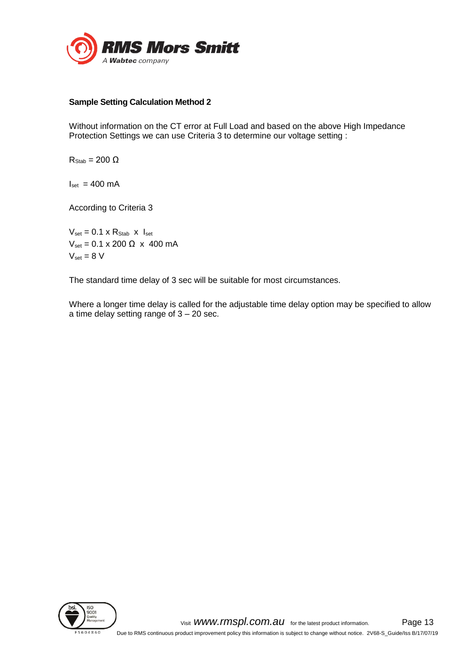

#### <span id="page-12-0"></span>**Sample Setting Calculation Method 2**

Without information on the CT error at Full Load and based on the above High Impedance Protection Settings we can use Criteria 3 to determine our voltage setting :

 $R$ Stab = 200 Ω

 $I_{\text{set}} = 400 \text{ mA}$ 

According to Criteria 3

 $V_{\text{set}} = 0.1 \times R_{\text{Stab}} \times I_{\text{set}}$  $V_{\text{set}}$  = 0.1 x 200 Ω x 400 mA  $V_{\text{set}} = 8 V$ 

The standard time delay of 3 sec will be suitable for most circumstances.

Where a longer time delay is called for the adjustable time delay option may be specified to allow a time delay setting range of  $3 - 20$  sec.

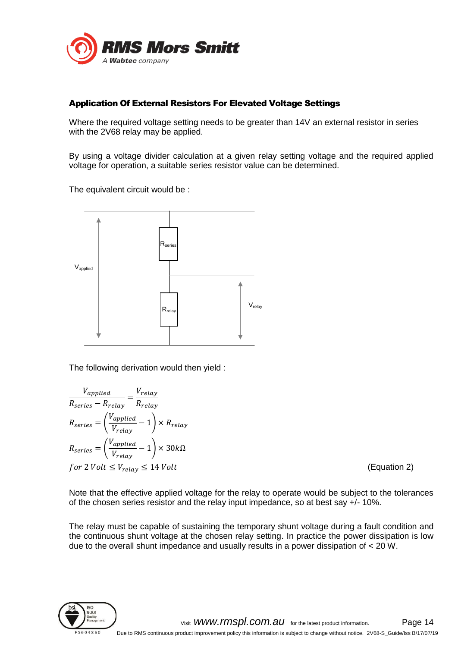

#### <span id="page-13-0"></span>Application Of External Resistors For Elevated Voltage Settings

Where the required voltage setting needs to be greater than 14V an external resistor in series with the 2V68 relay may be applied.

By using a voltage divider calculation at a given relay setting voltage and the required applied voltage for operation, a suitable series resistor value can be determined.

The equivalent circuit would be :



The following derivation would then yield :

$$
\frac{V_{applied}}{R_{series} - R_{relay}} = \frac{V_{relay}}{R_{relay}}
$$

$$
R_{series} = \left(\frac{V_{applied}}{V_{relay}} - 1\right) \times R_{relay}
$$

$$
R_{series} = \left(\frac{V_{applied}}{V_{relay}} - 1\right) \times 30k\Omega
$$

$$
for 2 Volt \leq V_{relay} \leq 14 Volt
$$

 $(Equation 2)$ 

Note that the effective applied voltage for the relay to operate would be subject to the tolerances of the chosen series resistor and the relay input impedance, so at best say +/- 10%.

The relay must be capable of sustaining the temporary shunt voltage during a fault condition and the continuous shunt voltage at the chosen relay setting. In practice the power dissipation is low due to the overall shunt impedance and usually results in a power dissipation of < 20 W.

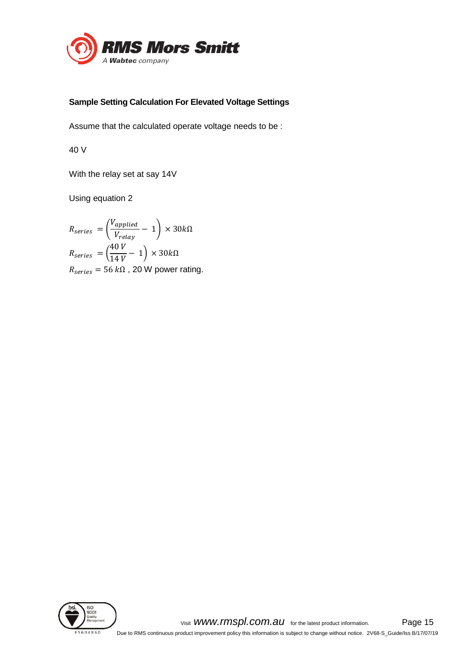

#### <span id="page-14-0"></span>**Sample Setting Calculation For Elevated Voltage Settings**

Assume that the calculated operate voltage needs to be :

40 V

With the relay set at say 14V

Using equation 2

 $R_{series}$  = Vapplied  $\frac{appieu}{V_{relay}}$  – 1) × 30kΩ  $R_{series} = ($ 40 V  $\frac{18}{14 V} - 1 \right) \times 30 k\Omega$  $R_{series} = 56 k\Omega$ , 20 W power rating.

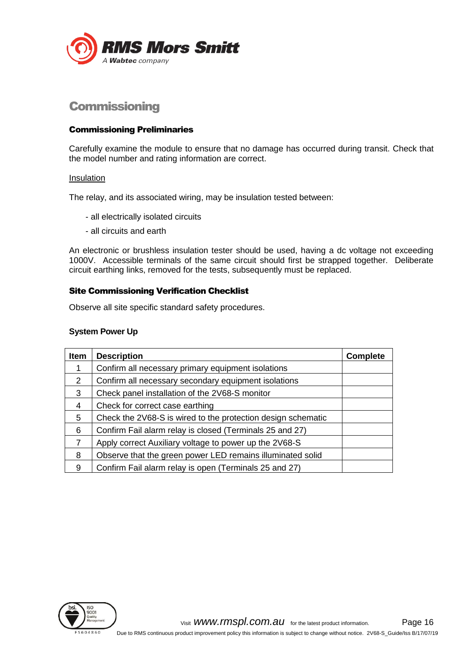

#### <span id="page-15-3"></span>**Commissioning**

#### <span id="page-15-0"></span>Commissioning Preliminaries

Carefully examine the module to ensure that no damage has occurred during transit. Check that the model number and rating information are correct.

#### **Insulation**

The relay, and its associated wiring, may be insulation tested between:

- all electrically isolated circuits
- all circuits and earth

An electronic or brushless insulation tester should be used, having a dc voltage not exceeding 1000V. Accessible terminals of the same circuit should first be strapped together. Deliberate circuit earthing links, removed for the tests, subsequently must be replaced.

#### <span id="page-15-1"></span>Site Commissioning Verification Checklist

Observe all site specific standard safety procedures.

#### <span id="page-15-2"></span>**System Power Up**

| Item | <b>Description</b>                                           | <b>Complete</b> |
|------|--------------------------------------------------------------|-----------------|
|      | Confirm all necessary primary equipment isolations           |                 |
| 2    | Confirm all necessary secondary equipment isolations         |                 |
| 3    | Check panel installation of the 2V68-S monitor               |                 |
| 4    | Check for correct case earthing                              |                 |
| 5    | Check the 2V68-S is wired to the protection design schematic |                 |
| 6    | Confirm Fail alarm relay is closed (Terminals 25 and 27)     |                 |
| 7    | Apply correct Auxiliary voltage to power up the 2V68-S       |                 |
| 8    | Observe that the green power LED remains illuminated solid   |                 |
| 9    | Confirm Fail alarm relay is open (Terminals 25 and 27)       |                 |